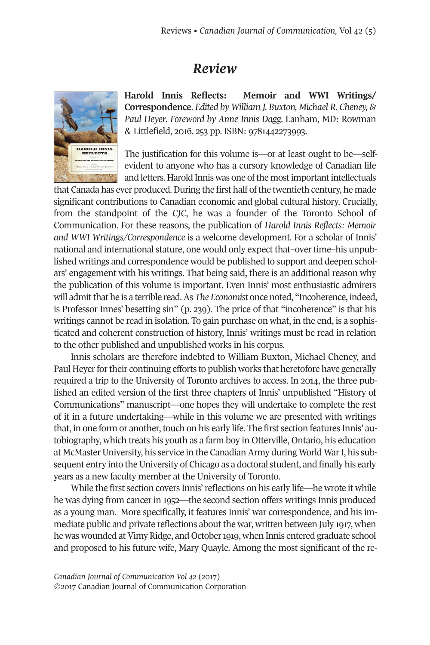## *Review*



**Harold Innis Reflects: Memoir and WWI Writings/ Correspondence**. *Edited by William J. Buxton, Michael R. Cheney, & Paul Heyer*. *Foreword by Anne Innis Dagg.* Lanham, MD: Rowman & Littlefield, 2016. 253 pp. ISBN: 9781442273993.

The justification for this volume is—or at least ought to be—selfevident to anyone who has a cursory knowledge of Canadian life and letters. Harold Innis was one of the most important intellectuals

that Canada has ever produced. During the first half of the twentieth century, he made significant contributions to Canadian economic and global cultural history. Crucially, from the standpoint of the *CJC*, he was a founder of the Toronto School of Communication. For these reasons, the publication of *Harold Innis Reflects: Memoir and WWI Writings/Correspondence* is a welcome development. For a scholar of Innis' national and international stature, one would only expect that–over time–his unpublished writings and correspondence would be published to support and deepen scholars' engagement with his writings. That being said, there is an additional reason why the publication of this volume is important. Even Innis' most enthusiastic admirers will admitthat he is a terrible read.As *The Economist* once noted, "Incoherence, indeed, is Professor Innes' besetting sin" (p. 239). The price of that "incoherence" is that his writings cannot be read in isolation. To gain purchase on what, in the end, is a sophisticated and coherent construction of history, Innis' writings must be read in relation to the other published and unpublished works in his corpus.

Innis scholars are therefore indebted to William Buxton, Michael Cheney, and Paul Heyer for their continuing efforts to publish works that heretofore have generally required a trip to the University of Toronto archives to access. In 2014, the three published an edited version of the first three chapters of Innis' unpublished "History of Communications" manuscript—one hopes they will undertake to complete the rest of it in a future undertaking—while in this volume we are presented with writings that, in one form or another, touch on his early life. The first section features Innis' autobiography, which treats his youth as a farm boy in Otterville, Ontario, his education at McMaster University, his service in the Canadian Army during World WarI, his subsequent entry into the University of Chicago as a doctoral student, and finally his early years as a new faculty member at the University of Toronto.

While the first section covers Innis'reflections on his early life—he wrote it while he was dying from cancer in 1952—the second section offers writings Innis produced as a young man. More specifically, it features Innis' war correspondence, and his immediate public and private reflections about the war, written between July 1917, when he was wounded at Vimy Ridge, and October 1919, when Innis entered graduate school and proposed to his future wife, Mary Quayle. Among the most significant of the re-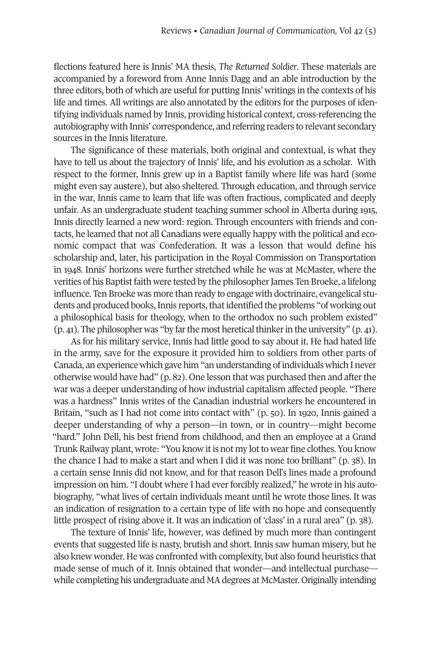flections featured here is Innis' MA thesis, *The Returned Soldier*. These materials are accompanied by a foreword from Anne Innis Dagg and an able introduction by the three editors, both of which are useful for putting Innis' writings in the contexts of his life and times. All writings are also annotated by the editors for the purposes of identifying individuals named by Innis, providing historical context, cross-referencing the autobiography with Innis' correspondence, and referring readers to relevant secondary sources in the Innis literature.

The significance of these materials, both original and contextual, is what they have to tell us about the trajectory of Innis' life, and his evolution as a scholar. With respect to the former, Innis grew up in a Baptist family where life was hard (some might even say austere), but also sheltered. Through education, and through service in the war, Innis came to learn that life was often fractious, complicated and deeply unfair. As an undergraduate student teaching summer school in Alberta during 1915, Innis directly learned a new word: region. Through encounters with friends and contacts, he learned that not all Canadians were equally happy with the political and economic compact that was Confederation. It was a lesson that would define his scholarship and, later, his participation in the Royal Commission on Transportation in 1948. Innis' horizons were further stretched while he was at McMaster, where the verities of his Baptist faith were tested by the philosopher James Ten Broeke, a lifelong influence. Ten Broeke was more than ready to engage with doctrinaire, evangelical students and produced books, Innis reports, that identified the problems "of working out a philosophical basis for theology, when to the orthodox no such problem existed"  $(p, 41)$ . The philosopher was "by far the most heretical thinker in the university"  $(p, 41)$ .

As for his military service, Innis had little good to say about it. He had hated life in the army, save for the exposure it provided him to soldiers from other parts of Canada, an experience which gave him "an understanding of individuals which I never otherwise would have had"  $(p, 82)$ . One lesson that was purchased then and after the war was a deeper understanding of how industrial capitalism affected people. "There was a hardness" Innis writes of the Canadian industrial workers he encountered in Britain, "such as I had not come into contact with" (p. 50). In 1920, Innis gained a deeper understanding of why a person—in town, or in country—might become "hard." John Dell, his best friend from childhood, and then an employee at a Grand Trunk Railway plant, wrote: "You know it is not my lot to wear fine clothes. You know the chance I had to make a start and when I did it was none too brilliant" (p. 38). In a certain sense Innis did not know, and for that reason Dell's lines made a profound impression on him. "I doubt where I had ever forcibly realized," he wrote in his autobiography, "what lives of certain individuals meant until he wrote those lines. It was an indication of resignation to a certain type of life with no hope and consequently little prospect of rising above it. It was an indication of 'class' in a rural area" (p. 38).

The texture of Innis' life, however, was defined by much more than contingent events that suggested life is nasty, brutish and short. Innis saw human misery, but he also knew wonder. He was confronted with complexity, but also found heuristics that made sense of much of it. Innis obtained that wonder—and intellectual purchase while completing his undergraduate and MA degrees at McMaster. Originally intending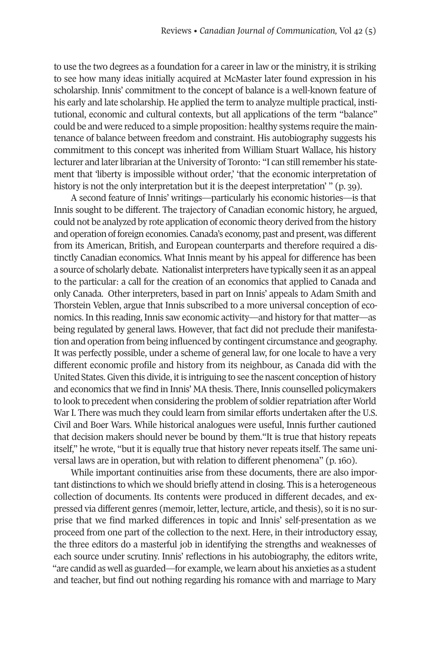to use the two degrees as a foundation for a career in law or the ministry, it is striking to see how many ideas initially acquired at McMaster later found expression in his scholarship. Innis' commitment to the concept of balance is a well-known feature of his early and late scholarship. He applied the term to analyze multiple practical, institutional, economic and cultural contexts, but all applications of the term "balance" could be and were reduced to a simple proposition: healthy systems require the maintenance of balance between freedom and constraint. His autobiography suggests his commitment to this concept was inherited from William Stuart Wallace, his history lecturer and later librarian at the University of Toronto: "I can still remember his statement that 'liberty is impossible without order,' 'that the economic interpretation of history is not the only interpretation but it is the deepest interpretation' " (p. 39).

A second feature of Innis' writings—particularly his economic histories—is that Innis sought to be different. The trajectory of Canadian economic history, he argued, could not be analyzed by rote application of economic theory derived from the history and operation of foreign economies. Canada's economy, past and present, was different from its American, British, and European counterparts and therefore required a distinctly Canadian economics. What Innis meant by his appeal for difference has been a source of scholarly debate. Nationalist interpreters have typically seen it as an appeal to the particular: a call for the creation of an economics that applied to Canada and only Canada. Other interpreters, based in part on Innis' appeals to Adam Smith and Thorstein Veblen, argue that Innis subscribed to a more universal conception of economics. In this reading, Innis saw economic activity—and history for that matter—as being regulated by general laws. However, that fact did not preclude their manifestation and operation from being influenced by contingent circumstance and geography. It was perfectly possible, under a scheme of general law, for one locale to have a very different economic profile and history from its neighbour, as Canada did with the United States. Given this divide, it is intriguing to see the nascent conception of history and economics that we find in Innis' MA thesis. There, Innis counselled policymakers to look to precedent when considering the problem of soldierrepatriation after World War I. There was much they could learn from similar efforts undertaken after the U.S. Civil and Boer Wars. While historical analogues were useful, Innis further cautioned that decision makers should never be bound by them."It is true that history repeats itself," he wrote, "but it is equally true that history never repeats itself. The same universal laws are in operation, but with relation to different phenomena" (p. 160).

While important continuities arise from these documents, there are also important distinctions to which we should briefly attend in closing. This is a heterogeneous collection of documents. Its contents were produced in different decades, and expressed via different genres (memoir, letter, lecture, article, and thesis), so it is no surprise that we find marked differences in topic and Innis' self-presentation as we proceed from one part of the collection to the next. Here, in their introductory essay, the three editors do a masterful job in identifying the strengths and weaknesses of each source under scrutiny. Innis' reflections in his autobiography, the editors write, "are candid as well as guarded—for example, we learn about his anxieties as a student and teacher, but find out nothing regarding his romance with and marriage to Mary